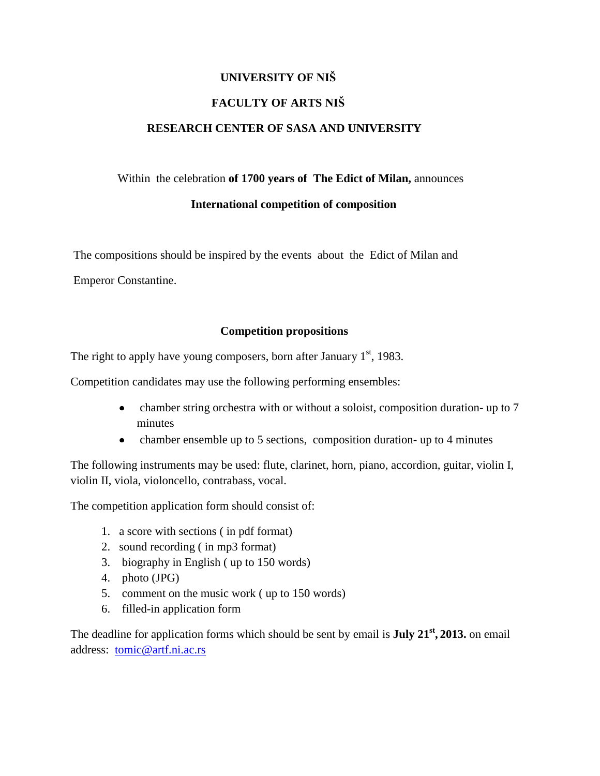## **UNIVERSITY OF NIŠ FACULTY OF ARTS NIŠ RESEARCH CENTER OF SASA AND UNIVERSITY**

## Within the celebration **of 1700 years of The Edict of Milan,** announces

## **International competition of composition**

The compositions should be inspired by the events about the Edict of Milan and

Emperor Constantine.

## **Competition propositions**

The right to apply have young composers, born after January  $1<sup>st</sup>$ , 1983.

Competition candidates may use the following performing ensembles:

- chamber string orchestra with or without a soloist, composition duration- up to 7 minutes
- chamber ensemble up to 5 sections, composition duration- up to 4 minutes  $\bullet$

The following instruments may be used: flute, clarinet, horn, piano, accordion, guitar, violin I, violin II, viola, violoncello, contrabass, vocal.

The competition application form should consist of:

- 1. a score with sections ( in pdf format)
- 2. sound recording ( in mp3 format)
- 3. biography in English ( up to 150 words)
- 4. photo (JPG)
- 5. comment on the music work ( up to 150 words)
- 6. filled-in application form

The deadline for application forms which should be sent by email is **July 21st , 2013.** on email address: [tomic@artf.ni.ac.rs](mailto:tomic@artf.ni.ac.rs)